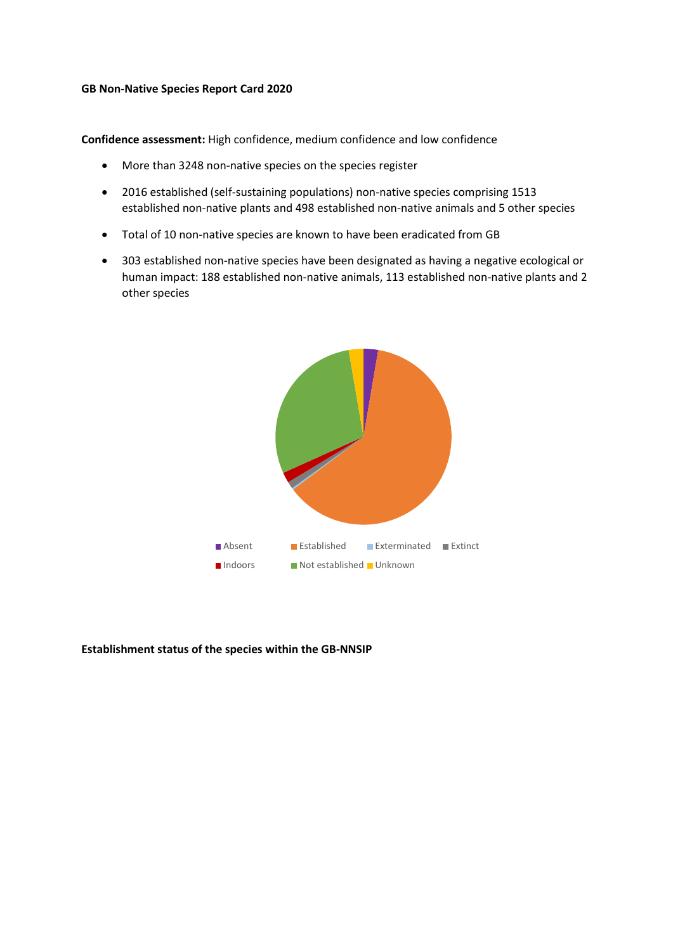## **GB Non-Native Species Report Card 2020**

**Confidence assessment:** High confidence, medium confidence and low confidence

- More than 3248 non-native species on the species register
- 2016 established (self-sustaining populations) non-native species comprising 1513 established non-native plants and 498 established non-native animals and 5 other species
- Total of 10 non-native species are known to have been eradicated from GB
- 303 established non-native species have been designated as having a negative ecological or human impact: 188 established non-native animals, 113 established non-native plants and 2 other species



## **Establishment status of the species within the GB-NNSIP**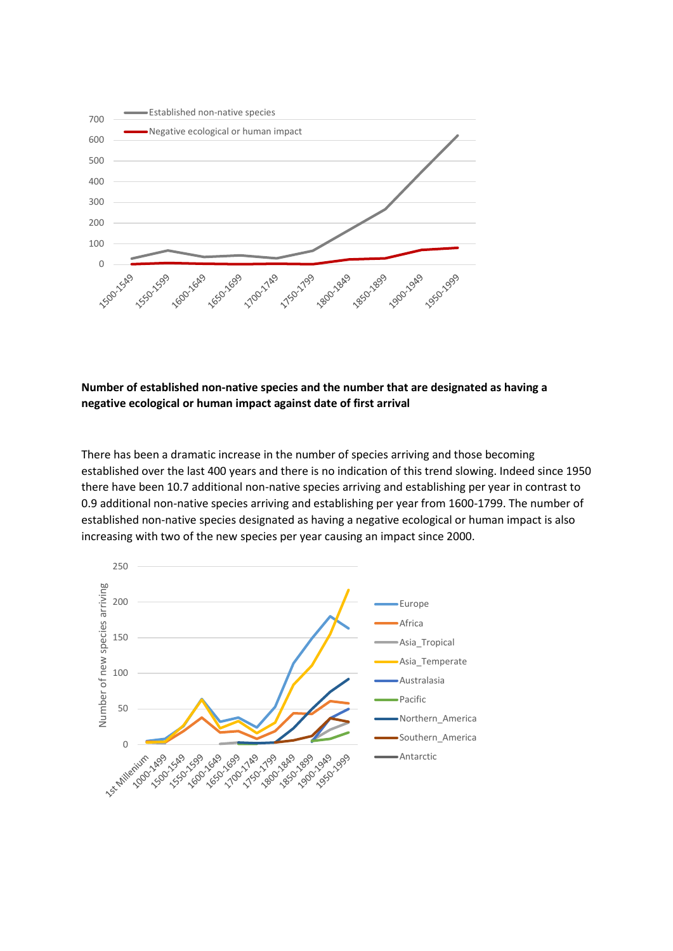

## **Number of established non-native species and the number that are designated as having a negative ecological or human impact against date of first arrival**

There has been a dramatic increase in the number of species arriving and those becoming established over the last 400 years and there is no indication of this trend slowing. Indeed since 1950 there have been 10.7 additional non-native species arriving and establishing per year in contrast to 0.9 additional non-native species arriving and establishing per year from 1600-1799. The number of established non-native species designated as having a negative ecological or human impact is also increasing with two of the new species per year causing an impact since 2000.

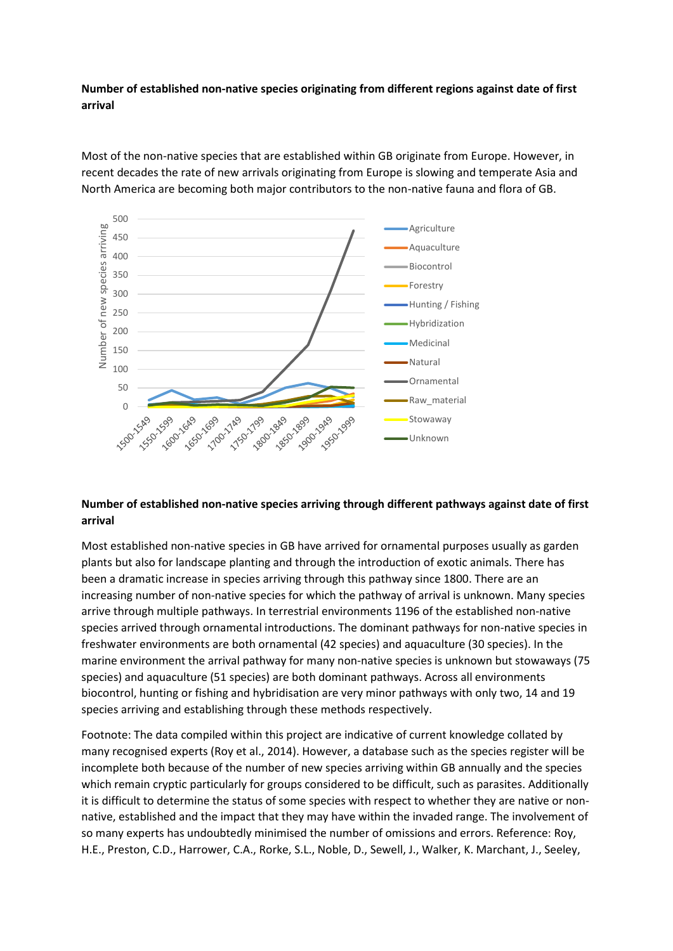**Number of established non-native species originating from different regions against date of first arrival**



Most of the non-native species that are established within GB originate from Europe. However, in recent decades the rate of new arrivals originating from Europe is slowing and temperate Asia and North America are becoming both major contributors to the non-native fauna and flora of GB.

## **Number of established non-native species arriving through different pathways against date of first arrival**

Most established non-native species in GB have arrived for ornamental purposes usually as garden plants but also for landscape planting and through the introduction of exotic animals. There has been a dramatic increase in species arriving through this pathway since 1800. There are an increasing number of non-native species for which the pathway of arrival is unknown. Many species arrive through multiple pathways. In terrestrial environments 1196 of the established non-native species arrived through ornamental introductions. The dominant pathways for non-native species in freshwater environments are both ornamental (42 species) and aquaculture (30 species). In the marine environment the arrival pathway for many non-native species is unknown but stowaways (75 species) and aquaculture (51 species) are both dominant pathways. Across all environments biocontrol, hunting or fishing and hybridisation are very minor pathways with only two, 14 and 19 species arriving and establishing through these methods respectively.

Footnote: The data compiled within this project are indicative of current knowledge collated by many recognised experts (Roy et al., 2014). However, a database such as the species register will be incomplete both because of the number of new species arriving within GB annually and the species which remain cryptic particularly for groups considered to be difficult, such as parasites. Additionally it is difficult to determine the status of some species with respect to whether they are native or nonnative, established and the impact that they may have within the invaded range. The involvement of so many experts has undoubtedly minimised the number of omissions and errors. Reference: Roy, H.E., Preston, C.D., Harrower, C.A., Rorke, S.L., Noble, D., Sewell, J., Walker, K. Marchant, J., Seeley,